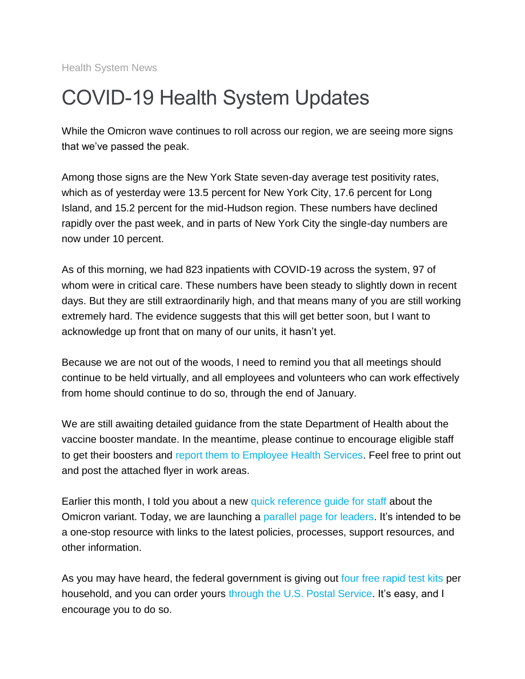Health System News

## COVID-19 Health System Updates

While the Omicron wave continues to roll across our region, we are seeing more signs that we've passed the peak.

Among those signs are the New York State seven-day average test positivity rates, which as of yesterday were 13.5 percent for New York City, 17.6 percent for Long Island, and 15.2 percent for the mid-Hudson region. These numbers have declined rapidly over the past week, and in parts of New York City the single-day numbers are now under 10 percent.

As of this morning, we had 823 inpatients with COVID-19 across the system, 97 of whom were in critical care. These numbers have been steady to slightly down in recent days. But they are still extraordinarily high, and that means many of you are still working extremely hard. The evidence suggests that this will get better soon, but I want to acknowledge up front that on many of our units, it hasn't yet.

Because we are not out of the woods, I need to remind you that all meetings should continue to be held virtually, and all employees and volunteers who can work effectively from home should continue to do so, through the end of January.

We are still awaiting detailed guidance from the state Department of Health about the vaccine booster mandate. In the meantime, please continue to encourage eligible staff to get their boosters and [report them to Employee Health Services.](https://s2.bl-1.com/h/doZo4HS3?url=https://redcap.mountsinai.org/redcap/surveys/index.php?s=47JY9K9MFA&_ga=2.91116634.191219233.1642514107-1085987282.1583268007) Feel free to print out and post the attached flyer in work areas.

Earlier this month, I told you about a new [quick reference guide for staff](https://s2.bl-1.com/h/doZo4Nr5?url=https://www.mountsinai.org/about/covid19/staff-resources/omicron-variant) about the Omicron variant. Today, we are launching a [parallel page for leaders.](https://s2.bl-1.com/h/doZo4SF7?url=https://www.mountsinai.org/about/covid19/staff-resources/omicron-variant/toolkit) It's intended to be a one-stop resource with links to the latest policies, processes, support resources, and other information.

As you may have heard, the federal government is giving out [four free rapid test kits](https://s2.bl-1.com/h/doZo4Yf9?url=https://www.covidtests.gov/) per household, and you can order yours [through the U.S. Postal Service.](https://s2.bl-1.com/h/doZo5d2C?url=https://special.usps.com/testkits) It's easy, and I encourage you to do so.